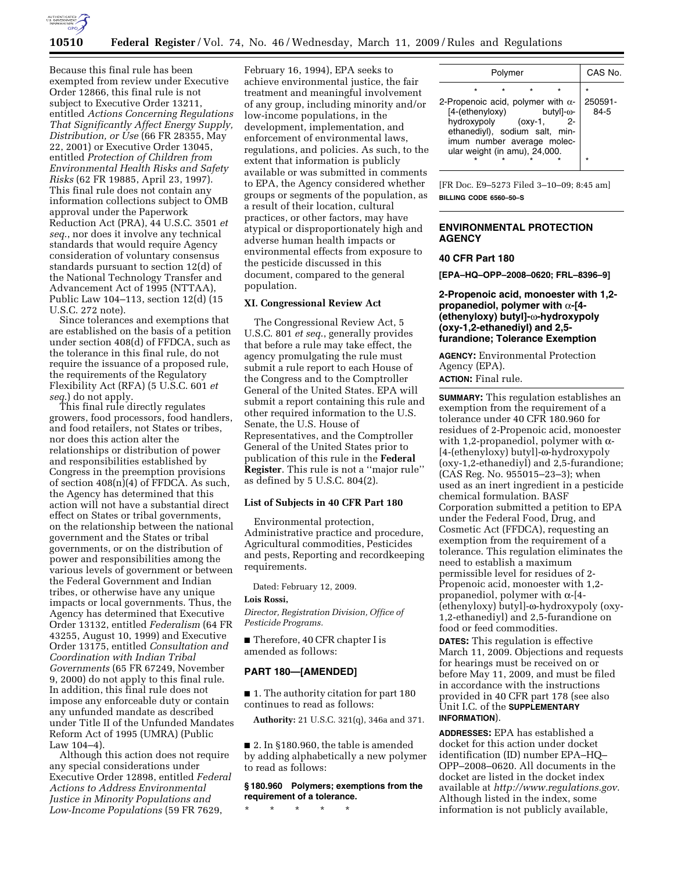

Because this final rule has been exempted from review under Executive Order 12866, this final rule is not subject to Executive Order 13211, entitled *Actions Concerning Regulations That Significantly Affect Energy Supply, Distribution, or Use* (66 FR 28355, May 22, 2001) or Executive Order 13045, entitled *Protection of Children from Environmental Health Risks and Safety Risks* (62 FR 19885, April 23, 1997). This final rule does not contain any information collections subject to OMB approval under the Paperwork Reduction Act (PRA), 44 U.S.C. 3501 *et seq*., nor does it involve any technical standards that would require Agency consideration of voluntary consensus standards pursuant to section 12(d) of the National Technology Transfer and Advancement Act of 1995 (NTTAA), Public Law 104–113, section 12(d) (15 U.S.C. 272 note).

Since tolerances and exemptions that are established on the basis of a petition under section 408(d) of FFDCA, such as the tolerance in this final rule, do not require the issuance of a proposed rule, the requirements of the Regulatory Flexibility Act (RFA) (5 U.S.C. 601 *et seq*.) do not apply.

This final rule directly regulates growers, food processors, food handlers, and food retailers, not States or tribes, nor does this action alter the relationships or distribution of power and responsibilities established by Congress in the preemption provisions of section  $408(n)(4)$  of FFDCA. As such, the Agency has determined that this action will not have a substantial direct effect on States or tribal governments, on the relationship between the national government and the States or tribal governments, or on the distribution of power and responsibilities among the various levels of government or between the Federal Government and Indian tribes, or otherwise have any unique impacts or local governments. Thus, the Agency has determined that Executive Order 13132, entitled *Federalism* (64 FR 43255, August 10, 1999) and Executive Order 13175, entitled *Consultation and Coordination with Indian Tribal Governments* (65 FR 67249, November 9, 2000) do not apply to this final rule. In addition, this final rule does not impose any enforceable duty or contain any unfunded mandate as described under Title II of the Unfunded Mandates Reform Act of 1995 (UMRA) (Public Law 104–4).

Although this action does not require any special considerations under Executive Order 12898, entitled *Federal Actions to Address Environmental Justice in Minority Populations and Low-Income Populations* (59 FR 7629,

February 16, 1994), EPA seeks to achieve environmental justice, the fair treatment and meaningful involvement of any group, including minority and/or low-income populations, in the development, implementation, and enforcement of environmental laws, regulations, and policies. As such, to the extent that information is publicly available or was submitted in comments to EPA, the Agency considered whether groups or segments of the population, as a result of their location, cultural practices, or other factors, may have atypical or disproportionately high and adverse human health impacts or environmental effects from exposure to the pesticide discussed in this document, compared to the general population.

# **XI. Congressional Review Act**

The Congressional Review Act, 5 U.S.C. 801 *et seq*., generally provides that before a rule may take effect, the agency promulgating the rule must submit a rule report to each House of the Congress and to the Comptroller General of the United States. EPA will submit a report containing this rule and other required information to the U.S. Senate, the U.S. House of Representatives, and the Comptroller General of the United States prior to publication of this rule in the **Federal Register**. This rule is not a ''major rule'' as defined by 5 U.S.C. 804(2).

# **List of Subjects in 40 CFR Part 180**

Environmental protection, Administrative practice and procedure, Agricultural commodities, Pesticides and pests, Reporting and recordkeeping requirements.

Dated: February 12, 2009.

#### **Lois Rossi,**

*Director, Registration Division, Office of Pesticide Programs.* 

■ Therefore, 40 CFR chapter I is amended as follows:

## **PART 180—[AMENDED]**

■ 1. The authority citation for part 180 continues to read as follows:

**Authority:** 21 U.S.C. 321(q), 346a and 371.

■ 2. In §180.960, the table is amended by adding alphabetically a new polymer to read as follows:

**§ 180.960 Polymers; exemptions from the requirement of a tolerance.** 

\* \* \* \* \*

| Polymer                                   |                 |                     |                                                                                               |           |    | CAS No.                        |
|-------------------------------------------|-----------------|---------------------|-----------------------------------------------------------------------------------------------|-----------|----|--------------------------------|
| 2-Propenoic acid, polymer with $\alpha$ - | [4-(ethenyloxy) | hydroxypoly (oxy-1, | ethanediyl), sodium salt, min-<br>imum number average molec-<br>ular weight (in amu), 24,000. | butyl]-ω- | 2- | $\star$<br>250591-<br>$84 - 5$ |
|                                           |                 |                     |                                                                                               |           |    | $\star$                        |

[FR Doc. E9–5273 Filed 3–10–09; 8:45 am] **BILLING CODE 6560–50–S** 

# **ENVIRONMENTAL PROTECTION AGENCY**

# **40 CFR Part 180**

**[EPA–HQ–OPP–2008–0620; FRL–8396–9]** 

**2-Propenoic acid, monoester with 1,2 propanediol, polymer with** α**-[4- (ethenyloxy) butyl]-**w**-hydroxypoly (oxy-1,2-ethanediyl) and 2,5 furandione; Tolerance Exemption** 

**AGENCY:** Environmental Protection Agency (EPA).

**ACTION:** Final rule.

**SUMMARY:** This regulation establishes an exemption from the requirement of a tolerance under 40 CFR 180.960 for residues of 2-Propenoic acid, monoester with 1,2-propanediol, polymer with  $\alpha$ -[4-(ethenyloxy) butyl]-w-hydroxypoly (oxy-1,2-ethanediyl) and 2,5-furandione; (CAS Reg. No. 955015–23–3); when used as an inert ingredient in a pesticide chemical formulation. BASF Corporation submitted a petition to EPA under the Federal Food, Drug, and Cosmetic Act (FFDCA), requesting an exemption from the requirement of a tolerance. This regulation eliminates the need to establish a maximum permissible level for residues of 2- Propenoic acid, monoester with 1,2 propanediol, polymer with  $\alpha$ -[4-(ethenyloxy) butyl]-w-hydroxypoly (oxy-1,2-ethanediyl) and 2,5-furandione on food or feed commodities.

**DATES:** This regulation is effective March 11, 2009. Objections and requests for hearings must be received on or before May 11, 2009, and must be filed in accordance with the instructions provided in 40 CFR part 178 (see also Unit I.C. of the **SUPPLEMENTARY INFORMATION**).

**ADDRESSES:** EPA has established a docket for this action under docket identification (ID) number EPA–HQ– OPP–2008–0620. All documents in the docket are listed in the docket index available at *http://www.regulations.gov*. Although listed in the index, some information is not publicly available,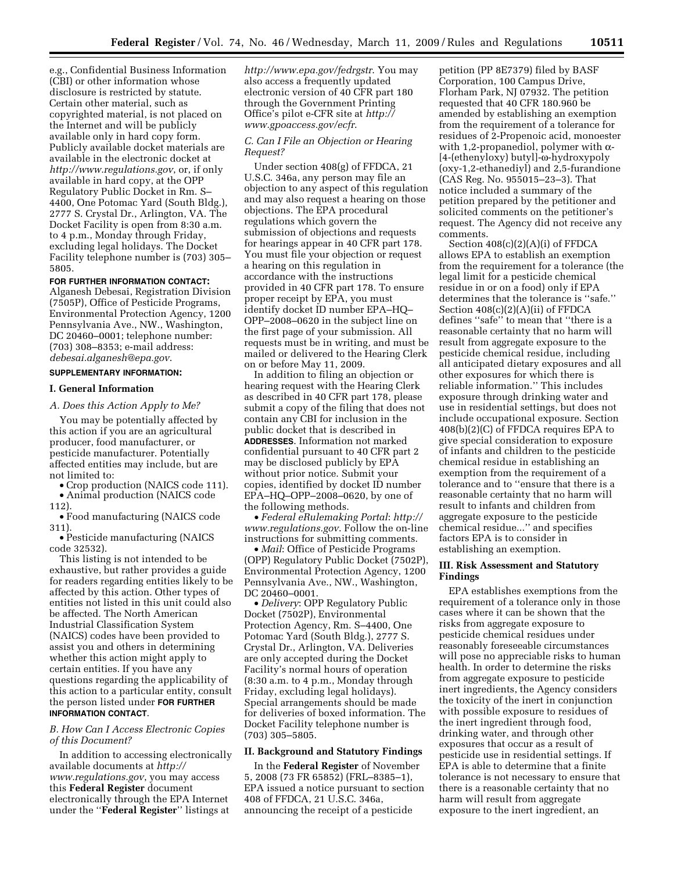e.g., Confidential Business Information (CBI) or other information whose disclosure is restricted by statute. Certain other material, such as copyrighted material, is not placed on the Internet and will be publicly available only in hard copy form. Publicly available docket materials are available in the electronic docket at *http://www.regulations.gov*, or, if only available in hard copy, at the OPP Regulatory Public Docket in Rm. S– 4400, One Potomac Yard (South Bldg.), 2777 S. Crystal Dr., Arlington, VA. The Docket Facility is open from 8:30 a.m. to 4 p.m., Monday through Friday, excluding legal holidays. The Docket Facility telephone number is (703) 305– 5805.

### **FOR FURTHER INFORMATION CONTACT:**

Alganesh Debesai, Registration Division (7505P), Office of Pesticide Programs, Environmental Protection Agency, 1200 Pennsylvania Ave., NW., Washington, DC 20460–0001; telephone number: (703) 308–8353; e-mail address: *debesai.alganesh@epa.gov*.

# **SUPPLEMENTARY INFORMATION:**

### **I. General Information**

*A. Does this Action Apply to Me?* 

You may be potentially affected by this action if you are an agricultural producer, food manufacturer, or pesticide manufacturer. Potentially affected entities may include, but are not limited to:

• Crop production (NAICS code 111). • Animal production (NAICS code

112).

• Food manufacturing (NAICS code 311).

• Pesticide manufacturing (NAICS code 32532).

This listing is not intended to be exhaustive, but rather provides a guide for readers regarding entities likely to be affected by this action. Other types of entities not listed in this unit could also be affected. The North American Industrial Classification System (NAICS) codes have been provided to assist you and others in determining whether this action might apply to certain entities. If you have any questions regarding the applicability of this action to a particular entity, consult the person listed under **FOR FURTHER INFORMATION CONTACT**.

# *B. How Can I Access Electronic Copies of this Document?*

In addition to accessing electronically available documents at *http:// www.regulations.gov*, you may access this **Federal Register** document electronically through the EPA Internet under the ''**Federal Register**'' listings at

*http://www.epa.gov/fedrgstr*. You may also access a frequently updated electronic version of 40 CFR part 180 through the Government Printing Office's pilot e-CFR site at *http:// www.gpoaccess.gov/ecfr*.

### *C. Can I File an Objection or Hearing Request?*

Under section 408(g) of FFDCA, 21 U.S.C. 346a, any person may file an objection to any aspect of this regulation and may also request a hearing on those objections. The EPA procedural regulations which govern the submission of objections and requests for hearings appear in 40 CFR part 178. You must file your objection or request a hearing on this regulation in accordance with the instructions provided in 40 CFR part 178. To ensure proper receipt by EPA, you must identify docket ID number EPA–HQ– OPP–2008–0620 in the subject line on the first page of your submission. All requests must be in writing, and must be mailed or delivered to the Hearing Clerk on or before May 11, 2009.

In addition to filing an objection or hearing request with the Hearing Clerk as described in 40 CFR part 178, please submit a copy of the filing that does not contain any CBI for inclusion in the public docket that is described in **ADDRESSES**. Information not marked confidential pursuant to 40 CFR part 2 may be disclosed publicly by EPA without prior notice. Submit your copies, identified by docket ID number EPA–HQ–OPP–2008–0620, by one of the following methods.

• *Federal eRulemaking Portal*: *http:// www.regulations.gov*. Follow the on-line instructions for submitting comments.

• *Mail*: Office of Pesticide Programs (OPP) Regulatory Public Docket (7502P), Environmental Protection Agency, 1200 Pennsylvania Ave., NW., Washington, DC 20460–0001.

• *Delivery*: OPP Regulatory Public Docket (7502P), Environmental Protection Agency, Rm. S–4400, One Potomac Yard (South Bldg.), 2777 S. Crystal Dr., Arlington, VA. Deliveries are only accepted during the Docket Facility's normal hours of operation (8:30 a.m. to 4 p.m., Monday through Friday, excluding legal holidays). Special arrangements should be made for deliveries of boxed information. The Docket Facility telephone number is (703) 305–5805.

#### **II. Background and Statutory Findings**

In the **Federal Register** of November 5, 2008 (73 FR 65852) (FRL–8385–1), EPA issued a notice pursuant to section 408 of FFDCA, 21 U.S.C. 346a, announcing the receipt of a pesticide

petition (PP 8E7379) filed by BASF Corporation, 100 Campus Drive, Florham Park, NJ 07932. The petition requested that 40 CFR 180.960 be amended by establishing an exemption from the requirement of a tolerance for residues of 2-Propenoic acid, monoester with 1,2-propanediol, polymer with  $\alpha$ -[4-(ethenyloxy) butyl]-w-hydroxypoly (oxy-1,2-ethanediyl) and 2,5-furandione (CAS Reg. No. 955015–23–3). That notice included a summary of the petition prepared by the petitioner and solicited comments on the petitioner's request. The Agency did not receive any comments.

Section 408(c)(2)(A)(i) of FFDCA allows EPA to establish an exemption from the requirement for a tolerance (the legal limit for a pesticide chemical residue in or on a food) only if EPA determines that the tolerance is ''safe.'' Section 408(c)(2)(A)(ii) of FFDCA defines ''safe'' to mean that ''there is a reasonable certainty that no harm will result from aggregate exposure to the pesticide chemical residue, including all anticipated dietary exposures and all other exposures for which there is reliable information.'' This includes exposure through drinking water and use in residential settings, but does not include occupational exposure. Section 408(b)(2)(C) of FFDCA requires EPA to give special consideration to exposure of infants and children to the pesticide chemical residue in establishing an exemption from the requirement of a tolerance and to ''ensure that there is a reasonable certainty that no harm will result to infants and children from aggregate exposure to the pesticide chemical residue...'' and specifies factors EPA is to consider in establishing an exemption.

#### **III. Risk Assessment and Statutory Findings**

EPA establishes exemptions from the requirement of a tolerance only in those cases where it can be shown that the risks from aggregate exposure to pesticide chemical residues under reasonably foreseeable circumstances will pose no appreciable risks to human health. In order to determine the risks from aggregate exposure to pesticide inert ingredients, the Agency considers the toxicity of the inert in conjunction with possible exposure to residues of the inert ingredient through food, drinking water, and through other exposures that occur as a result of pesticide use in residential settings. If EPA is able to determine that a finite tolerance is not necessary to ensure that there is a reasonable certainty that no harm will result from aggregate exposure to the inert ingredient, an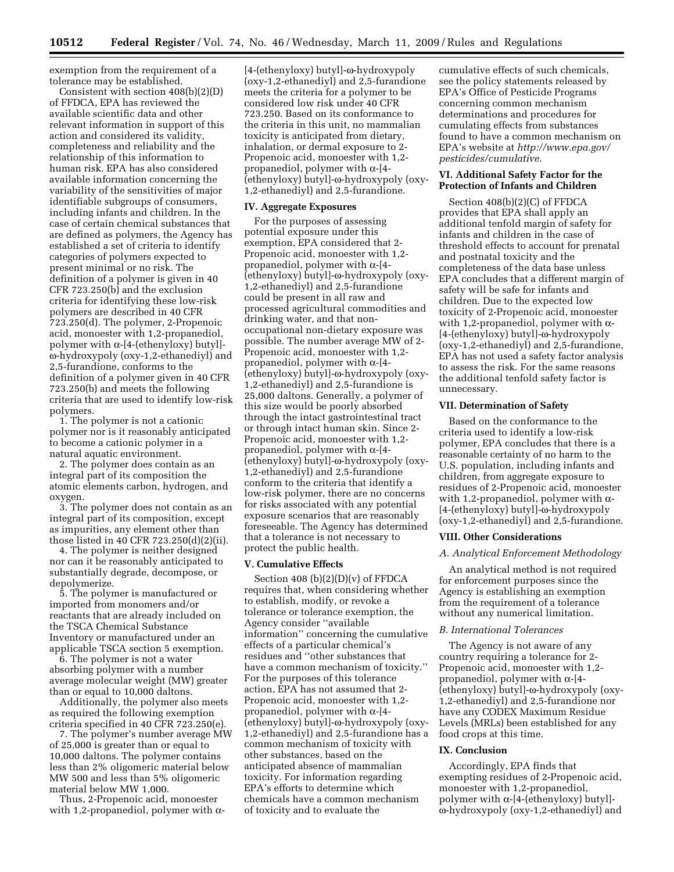exemption from the requirement of a tolerance may be established.

Consistent with section 408(b)(2)(D) of FFDCA, EPA has reviewed the available scientific data and other relevant information in support of this action and considered its validity, completeness and reliability and the relationship of this information to human risk. EPA has also considered available information concerning the variability of the sensitivities of major identifiable subgroups of consumers, including infants and children. In the case of certain chemical substances that are defined as polymers, the Agency has established a set of criteria to identify categories of polymers expected to present minimal or no risk. The definition of a polymer is given in 40 CFR 723.250(b) and the exclusion criteria for identifying these low-risk polymers are described in 40 CFR 723.250(d). The polymer, 2-Propenoic acid, monoester with 1,2-propanediol, polymer with  $\alpha$ -[4-(ethenyloxy) butyl]w-hydroxypoly (oxy-1,2-ethanediyl) and 2,5-furandione, conforms to the definition of a polymer given in 40 CFR 723.250(b) and meets the following criteria that are used to identify low-risk polymers.

1. The polymer is not a cationic polymer nor is it reasonably anticipated to become a cationic polymer in a natural aquatic environment.

2. The polymer does contain as an integral part of its composition the atomic elements carbon, hydrogen, and oxygen.

3. The polymer does not contain as an integral part of its composition, except as impurities, any element other than those listed in 40 CFR 723.250(d)(2)(ii).

4. The polymer is neither designed nor can it be reasonably anticipated to substantially degrade, decompose, or depolymerize.

5. The polymer is manufactured or imported from monomers and/or reactants that are already included on the TSCA Chemical Substance Inventory or manufactured under an applicable TSCA section 5 exemption.

6. The polymer is not a water absorbing polymer with a number average molecular weight (MW) greater than or equal to 10,000 daltons.

Additionally, the polymer also meets as required the following exemption criteria specified in 40 CFR 723.250(e).

7. The polymer's number average MW of 25,000 is greater than or equal to 10,000 daltons. The polymer contains less than 2% oligomeric material below MW 500 and less than 5% oligomeric material below MW 1,000.

Thus, 2-Propenoic acid, monoester with 1,2-propanediol, polymer with  $\alpha$ - [4-(ethenyloxy) butyl]-w-hydroxypoly (oxy-1,2-ethanediyl) and 2,5-furandione meets the criteria for a polymer to be considered low risk under 40 CFR 723.250. Based on its conformance to the criteria in this unit, no mammalian toxicity is anticipated from dietary, inhalation, or dermal exposure to 2- Propenoic acid, monoester with 1,2 propanediol, polymer with  $\alpha$ -[4-(ethenyloxy) butyl]-w-hydroxypoly (oxy-1,2-ethanediyl) and 2,5-furandione.

## **IV. Aggregate Exposures**

For the purposes of assessing potential exposure under this exemption, EPA considered that 2- Propenoic acid, monoester with 1,2 propanediol, polymer with  $\alpha$ -[4- $(ethenyloxy) buty$ ]- $\omega-hydroxypoly (oxy-$ 1,2-ethanediyl) and 2,5-furandione could be present in all raw and processed agricultural commodities and drinking water, and that nonoccupational non-dietary exposure was possible. The number average MW of 2- Propenoic acid, monoester with 1,2 propanediol, polymer with  $\alpha$ -[4-(ethenyloxy) butyl]-w-hydroxypoly (oxy-1,2-ethanediyl) and 2,5-furandione is 25,000 daltons. Generally, a polymer of this size would be poorly absorbed through the intact gastrointestinal tract or through intact human skin. Since 2- Propenoic acid, monoester with 1,2 propanediol, polymer with  $\alpha$ -[4-(ethenyloxy) butyl]-w-hydroxypoly (oxy-1,2-ethanediyl) and 2,5-furandione conform to the criteria that identify a low-risk polymer, there are no concerns for risks associated with any potential exposure scenarios that are reasonably foreseeable. The Agency has determined that a tolerance is not necessary to protect the public health.

#### **V. Cumulative Effects**

Section 408  $(b)(2)(D)(v)$  of FFDCA requires that, when considering whether to establish, modify, or revoke a tolerance or tolerance exemption, the Agency consider ''available information'' concerning the cumulative effects of a particular chemical's residues and ''other substances that have a common mechanism of toxicity.'' For the purposes of this tolerance action, EPA has not assumed that 2- Propenoic acid, monoester with 1,2 propanediol, polymer with  $\alpha$ -[4-(ethenyloxy) butyl]-w-hydroxypoly (oxy-1,2-ethanediyl) and 2,5-furandione has a common mechanism of toxicity with other substances, based on the anticipated absence of mammalian toxicity. For information regarding EPA's efforts to determine which chemicals have a common mechanism of toxicity and to evaluate the

cumulative effects of such chemicals, see the policy statements released by EPA's Office of Pesticide Programs concerning common mechanism determinations and procedures for cumulating effects from substances found to have a common mechanism on EPA's website at *http://www.epa.gov/ pesticides/cumulative*.

### **VI. Additional Safety Factor for the Protection of Infants and Children**

Section 408(b)(2)(C) of FFDCA provides that EPA shall apply an additional tenfold margin of safety for infants and children in the case of threshold effects to account for prenatal and postnatal toxicity and the completeness of the data base unless EPA concludes that a different margin of safety will be safe for infants and children. Due to the expected low toxicity of 2-Propenoic acid, monoester with 1,2-propanediol, polymer with  $\alpha$ -[4-(ethenyloxy) butyl]-w-hydroxypoly (oxy-1,2-ethanediyl) and 2,5-furandione, EPA has not used a safety factor analysis to assess the risk. For the same reasons the additional tenfold safety factor is unnecessary.

#### **VII. Determination of Safety**

Based on the conformance to the criteria used to identify a low-risk polymer, EPA concludes that there is a reasonable certainty of no harm to the U.S. population, including infants and children, from aggregate exposure to residues of 2-Propenoic acid, monoester with 1,2-propanediol, polymer with  $\alpha$ -[4-(ethenyloxy) butyl]- $\omega$ -hydroxypoly (oxy-1,2-ethanediyl) and 2,5-furandione.

#### **VIII. Other Considerations**

# *A. Analytical Enforcement Methodology*

An analytical method is not required for enforcement purposes since the Agency is establishing an exemption from the requirement of a tolerance without any numerical limitation.

## *B. International Tolerances*

The Agency is not aware of any country requiring a tolerance for 2- Propenoic acid, monoester with 1,2 propanediol, polymer with  $\alpha$ -[4-(ethenyloxy) butyl]-w-hydroxypoly (oxy-1,2-ethanediyl) and 2,5-furandione nor have any CODEX Maximum Residue Levels (MRLs) been established for any food crops at this time.

# **IX. Conclusion**

Accordingly, EPA finds that exempting residues of 2-Propenoic acid, monoester with 1,2-propanediol, polymer with  $\alpha$ -[4-(ethenyloxy) butyl]w-hydroxypoly (oxy-1,2-ethanediyl) and